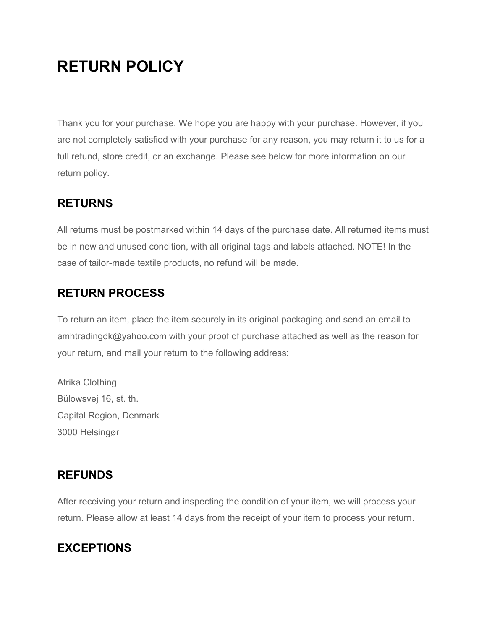# **RETURN POLICY**

Thank you for your purchase. We hope you are happy with your purchase. However, if you are not completely satisfied with your purchase for any reason, you may return it to us for a full refund, store credit, or an exchange. Please see below for more information on our return policy.

#### **RETURNS**

All returns must be postmarked within 14 days of the purchase date. All returned items must be in new and unused condition, with all original tags and labels attached. NOTE! In the case of tailor-made textile products, no refund will be made.

### **RETURN PROCESS**

To return an item, place the item securely in its original packaging and send an email to amhtradingdk@yahoo.com with your proof of purchase attached as well as the reason for your return, and mail your return to the following address:

Afrika Clothing Bülowsvej 16, st. th. Capital Region, Denmark 3000 Helsingør

### **REFUNDS**

After receiving your return and inspecting the condition of your item, we will process your return. Please allow at least 14 days from the receipt of your item to process your return.

## **EXCEPTIONS**